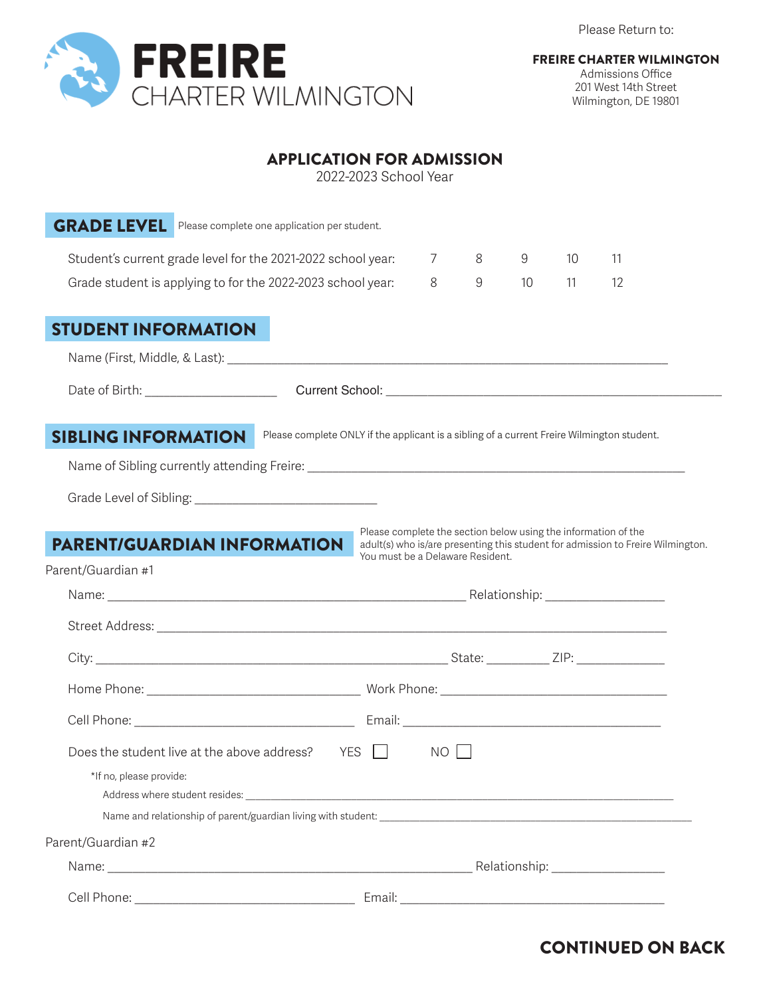Please Return to:



Admissions Office 201 West 14th Street Wilmington, DE 19801

#### APPLICATION FOR ADMISSION

2022-2023 School Year

| <b>GRADE LEVEL</b> Please complete one application per student.                                                          |                                  |    |       |    |    |                                                                                 |  |  |
|--------------------------------------------------------------------------------------------------------------------------|----------------------------------|----|-------|----|----|---------------------------------------------------------------------------------|--|--|
| Student's current grade level for the 2021-2022 school year:                                                             |                                  | 7  | 8     | 9  | 10 | 11                                                                              |  |  |
| Grade student is applying to for the 2022-2023 school year:                                                              |                                  | 8  | $9\,$ | 10 | 11 | 12                                                                              |  |  |
| <b>STUDENT INFORMATION</b>                                                                                               |                                  |    |       |    |    |                                                                                 |  |  |
|                                                                                                                          |                                  |    |       |    |    |                                                                                 |  |  |
|                                                                                                                          |                                  |    |       |    |    |                                                                                 |  |  |
| Please complete ONLY if the applicant is a sibling of a current Freire Wilmington student.<br><b>SIBLING INFORMATION</b> |                                  |    |       |    |    |                                                                                 |  |  |
|                                                                                                                          |                                  |    |       |    |    |                                                                                 |  |  |
|                                                                                                                          |                                  |    |       |    |    |                                                                                 |  |  |
| <b>PARENT/GUARDIAN INFORMATION</b><br>Parent/Guardian #1                                                                 | You must be a Delaware Resident. |    |       |    |    | adult(s) who is/are presenting this student for admission to Freire Wilmington. |  |  |
|                                                                                                                          |                                  |    |       |    |    |                                                                                 |  |  |
|                                                                                                                          |                                  |    |       |    |    |                                                                                 |  |  |
|                                                                                                                          |                                  |    |       |    |    |                                                                                 |  |  |
|                                                                                                                          |                                  |    |       |    |    |                                                                                 |  |  |
| Does the student live at the above address?<br>*If no, please provide:                                                   | YES                              | NO |       |    |    |                                                                                 |  |  |
| Parent/Guardian #2                                                                                                       |                                  |    |       |    |    |                                                                                 |  |  |
|                                                                                                                          |                                  |    |       |    |    |                                                                                 |  |  |
|                                                                                                                          |                                  |    |       |    |    |                                                                                 |  |  |

# CONTINUED ON BACK